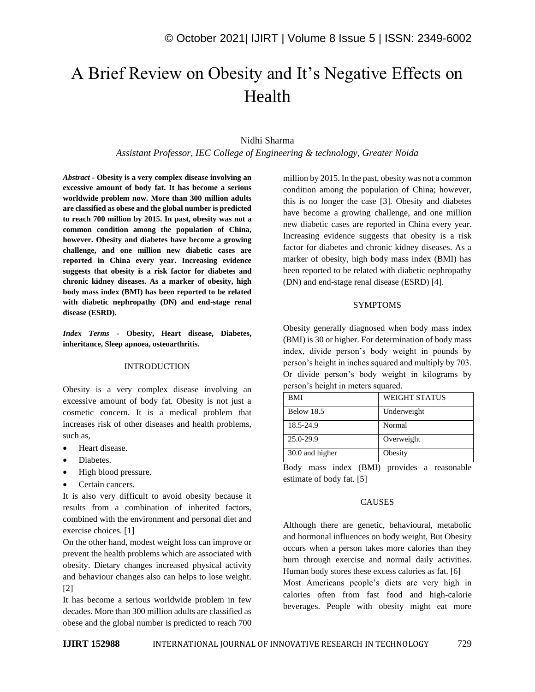# A Brief Review on Obesity and It's Negative Effects on Health

#### Nidhi Sharma

*Assistant Professor, IEC College of Engineering & technology, Greater Noida*

*Abstract -* **Obesity is a very complex disease involving an excessive amount of body fat. It has become a serious worldwide problem now. More than 300 million adults are classified as obese and the global number is predicted to reach 700 million by 2015. In past, obesity was not a common condition among the population of China, however. Obesity and diabetes have become a growing challenge, and one million new diabetic cases are reported in China every year. Increasing evidence suggests that obesity is a risk factor for diabetes and chronic kidney diseases. As a marker of obesity, high body mass index (BMI) has been reported to be related with diabetic nephropathy (DN) and end-stage renal disease (ESRD).**

*Index Terms -* **Obesity, Heart disease, Diabetes, inheritance, Sleep apnoea, osteoarthritis.**

#### INTRODUCTION

Obesity is a very complex disease involving an excessive amount of body fat. Obesity is not just a cosmetic concern. It is a medical problem that increases risk of other diseases and health problems, such as,

- Heart disease.
- Diabetes.
- High blood pressure.
- Certain cancers.

It is also very difficult to avoid obesity because it results from a combination of inherited factors, combined with the environment and personal diet and exercise choices. [1]

On the other hand, modest weight loss can improve or prevent the health problems which are associated with obesity. Dietary changes increased physical activity and behaviour changes also can helps to lose weight. [2]

It has become a serious worldwide problem in few decades. More than 300 million adults are classified as obese and the global number is predicted to reach 700 million by 2015. In the past, obesity was not a common condition among the population of China; however, this is no longer the case [3]. Obesity and diabetes have become a growing challenge, and one million new diabetic cases are reported in China every year. Increasing evidence suggests that obesity is a risk factor for diabetes and chronic kidney diseases. As a marker of obesity, high body mass index (BMI) has been reported to be related with diabetic nephropathy (DN) and end-stage renal disease (ESRD) [4].

#### SYMPTOMS

Obesity generally diagnosed when body mass index (BMI) is 30 or higher. For determination of body mass index, divide person's body weight in pounds by person's height in inches squared and multiply by 703. Or divide person's body weight in kilograms by person's height in meters squared.

| <b>BMI</b>        | <b>WEIGHT STATUS</b> |
|-------------------|----------------------|
| <b>Below 18.5</b> | Underweight          |
| 18.5-24.9         | Normal               |
| 25.0-29.9         | Overweight           |
| 30.0 and higher   | Obesity              |

Body mass index (BMI) provides a reasonable estimate of body fat. [5]

#### CAUSES

Although there are genetic, behavioural, metabolic and hormonal influences on body weight, But Obesity occurs when a person takes more calories than they burn through exercise and normal daily activities. Human body stores these excess calories as fat. [6] Most Americans people's diets are very high in calories often from fast food and high-calorie beverages. People with obesity might eat more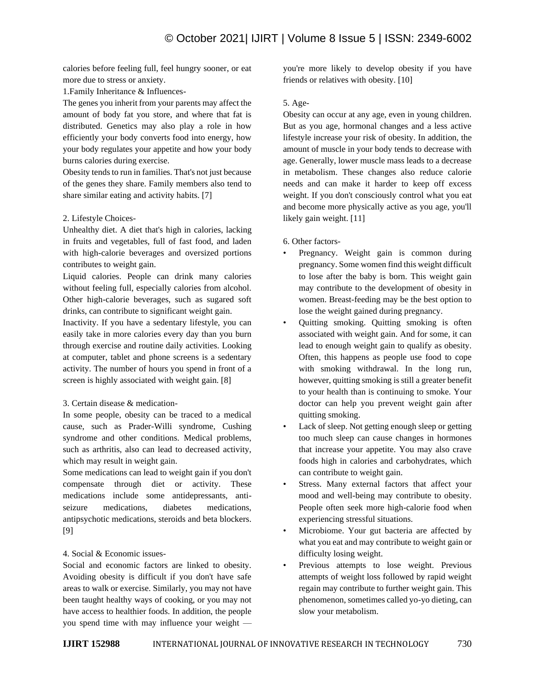calories before feeling full, feel hungry sooner, or eat more due to stress or anxiety.

1.Family Inheritance & Influences-

The genes you inherit from your parents may affect the amount of body fat you store, and where that fat is distributed. Genetics may also play a role in how efficiently your body converts food into energy, how your body regulates your appetite and how your body burns calories during exercise.

Obesity tends to run in families. That's not just because of the genes they share. Family members also tend to share similar eating and activity habits. [7]

# 2. Lifestyle Choices-

Unhealthy diet. A diet that's high in calories, lacking in fruits and vegetables, full of fast food, and laden with high-calorie beverages and oversized portions contributes to weight gain.

Liquid calories. People can drink many calories without feeling full, especially calories from alcohol. Other high-calorie beverages, such as sugared soft drinks, can contribute to significant weight gain.

Inactivity. If you have a sedentary lifestyle, you can easily take in more calories every day than you burn through exercise and routine daily activities. Looking at computer, tablet and phone screens is a sedentary activity. The number of hours you spend in front of a screen is highly associated with weight gain. [8]

# 3. Certain disease & medication-

In some people, obesity can be traced to a medical cause, such as Prader-Willi syndrome, Cushing syndrome and other conditions. Medical problems, such as arthritis, also can lead to decreased activity, which may result in weight gain.

Some medications can lead to weight gain if you don't compensate through diet or activity. These medications include some antidepressants, antiseizure medications, diabetes medications, antipsychotic medications, steroids and beta blockers. [9]

# 4. Social & Economic issues-

Social and economic factors are linked to obesity. Avoiding obesity is difficult if you don't have safe areas to walk or exercise. Similarly, you may not have been taught healthy ways of cooking, or you may not have access to healthier foods. In addition, the people you spend time with may influence your weight —

you're more likely to develop obesity if you have friends or relatives with obesity. [10]

# 5. Age-

Obesity can occur at any age, even in young children. But as you age, hormonal changes and a less active lifestyle increase your risk of obesity. In addition, the amount of muscle in your body tends to decrease with age. Generally, lower muscle mass leads to a decrease in metabolism. These changes also reduce calorie needs and can make it harder to keep off excess weight. If you don't consciously control what you eat and become more physically active as you age, you'll likely gain weight. [11]

# 6. Other factors-

- Pregnancy. Weight gain is common during pregnancy. Some women find this weight difficult to lose after the baby is born. This weight gain may contribute to the development of obesity in women. Breast-feeding may be the best option to lose the weight gained during pregnancy.
- Quitting smoking. Quitting smoking is often associated with weight gain. And for some, it can lead to enough weight gain to qualify as obesity. Often, this happens as people use food to cope with smoking withdrawal. In the long run, however, quitting smoking is still a greater benefit to your health than is continuing to smoke. Your doctor can help you prevent weight gain after quitting smoking.
- Lack of sleep. Not getting enough sleep or getting too much sleep can cause changes in hormones that increase your appetite. You may also crave foods high in calories and carbohydrates, which can contribute to weight gain.
- Stress. Many external factors that affect your mood and well-being may contribute to obesity. People often seek more high-calorie food when experiencing stressful situations.
- Microbiome. Your gut bacteria are affected by what you eat and may contribute to weight gain or difficulty losing weight.
- Previous attempts to lose weight. Previous attempts of weight loss followed by rapid weight regain may contribute to further weight gain. This phenomenon, sometimes called yo-yo dieting, can slow your metabolism.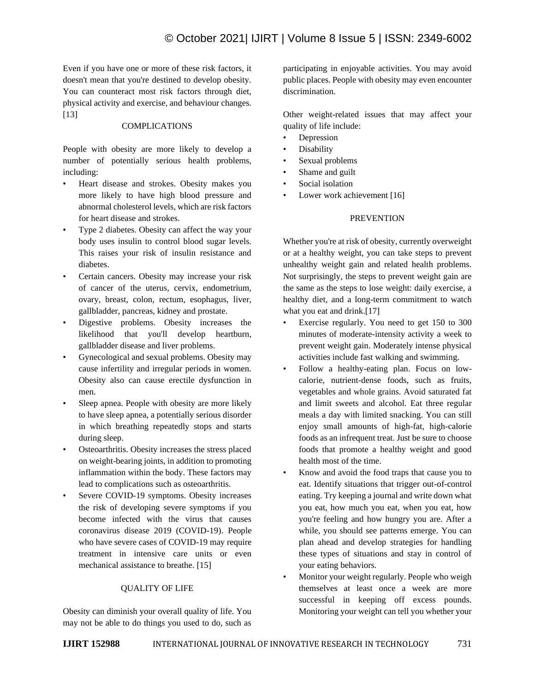Even if you have one or more of these risk factors, it doesn't mean that you're destined to develop obesity. You can counteract most risk factors through diet, physical activity and exercise, and behaviour changes. [13]

### COMPLICATIONS

People with obesity are more likely to develop a number of potentially serious health problems, including:

- Heart disease and strokes. Obesity makes you more likely to have high blood pressure and abnormal cholesterol levels, which are risk factors for heart disease and strokes.
- Type 2 diabetes. Obesity can affect the way your body uses insulin to control blood sugar levels. This raises your risk of insulin resistance and diabetes.
- Certain cancers. Obesity may increase your risk of cancer of the uterus, cervix, endometrium, ovary, breast, colon, rectum, esophagus, liver, gallbladder, pancreas, kidney and prostate.
- Digestive problems. Obesity increases the likelihood that you'll develop heartburn, gallbladder disease and liver problems.
- Gynecological and sexual problems. Obesity may cause infertility and irregular periods in women. Obesity also can cause erectile dysfunction in men.
- Sleep apnea. People with obesity are more likely to have sleep apnea, a potentially serious disorder in which breathing repeatedly stops and starts during sleep.
- Osteoarthritis. Obesity increases the stress placed on weight-bearing joints, in addition to promoting inflammation within the body. These factors may lead to complications such as osteoarthritis.
- Severe COVID-19 symptoms. Obesity increases the risk of developing severe symptoms if you become infected with the virus that causes coronavirus disease 2019 (COVID-19). People who have severe cases of COVID-19 may require treatment in intensive care units or even mechanical assistance to breathe. [15]

## QUALITY OF LIFE

Obesity can diminish your overall quality of life. You may not be able to do things you used to do, such as participating in enjoyable activities. You may avoid public places. People with obesity may even encounter discrimination.

Other weight-related issues that may affect your quality of life include:

- Depression
- **Disability**
- Sexual problems
- Shame and guilt
- Social isolation
- Lower work achievement [16]

## PREVENTION

Whether you're at risk of obesity, currently overweight or at a healthy weight, you can take steps to prevent unhealthy weight gain and related health problems. Not surprisingly, the steps to prevent weight gain are the same as the steps to lose weight: daily exercise, a healthy diet, and a long-term commitment to watch what you eat and drink.[17]

- Exercise regularly. You need to get 150 to 300 minutes of moderate-intensity activity a week to prevent weight gain. Moderately intense physical activities include fast walking and swimming.
- Follow a healthy-eating plan. Focus on lowcalorie, nutrient-dense foods, such as fruits, vegetables and whole grains. Avoid saturated fat and limit sweets and alcohol. Eat three regular meals a day with limited snacking. You can still enjoy small amounts of high-fat, high-calorie foods as an infrequent treat. Just be sure to choose foods that promote a healthy weight and good health most of the time.
- Know and avoid the food traps that cause you to eat. Identify situations that trigger out-of-control eating. Try keeping a journal and write down what you eat, how much you eat, when you eat, how you're feeling and how hungry you are. After a while, you should see patterns emerge. You can plan ahead and develop strategies for handling these types of situations and stay in control of your eating behaviors.
- Monitor your weight regularly. People who weigh themselves at least once a week are more successful in keeping off excess pounds. Monitoring your weight can tell you whether your